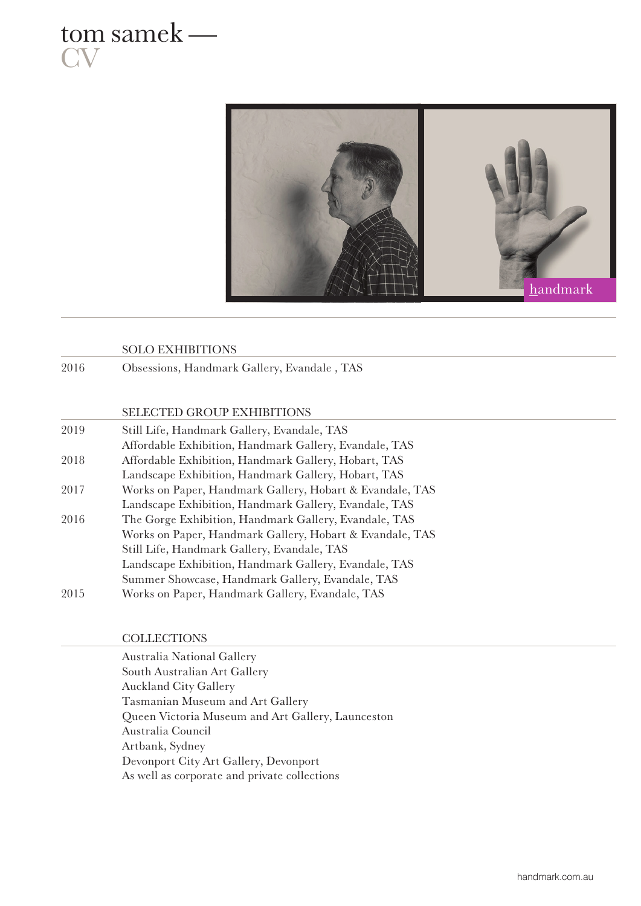



## SOLO EXHIBITIONS

2016 Obsessions, Handmark Gallery, Evandale , TAS

## SELECTED GROUP EXHIBITIONS

| 2019 | Still Life, Handmark Gallery, Evandale, TAS              |
|------|----------------------------------------------------------|
|      | Affordable Exhibition, Handmark Gallery, Evandale, TAS   |
| 2018 | Affordable Exhibition, Handmark Gallery, Hobart, TAS     |
|      | Landscape Exhibition, Handmark Gallery, Hobart, TAS      |
| 2017 | Works on Paper, Handmark Gallery, Hobart & Evandale, TAS |
|      | Landscape Exhibition, Handmark Gallery, Evandale, TAS    |
| 2016 | The Gorge Exhibition, Handmark Gallery, Evandale, TAS    |
|      | Works on Paper, Handmark Gallery, Hobart & Evandale, TAS |
|      | Still Life, Handmark Gallery, Evandale, TAS              |
|      | Landscape Exhibition, Handmark Gallery, Evandale, TAS    |
|      | Summer Showcase, Handmark Gallery, Evandale, TAS         |
| 2015 | Works on Paper, Handmark Gallery, Evandale, TAS          |
|      |                                                          |

## **COLLECTIONS**

Australia National Gallery South Australian Art Gallery Auckland City Gallery Tasmanian Museum and Art Gallery Queen Victoria Museum and Art Gallery, Launceston Australia Council Artbank, Sydney Devonport City Art Gallery, Devonport As well as corporate and private collections